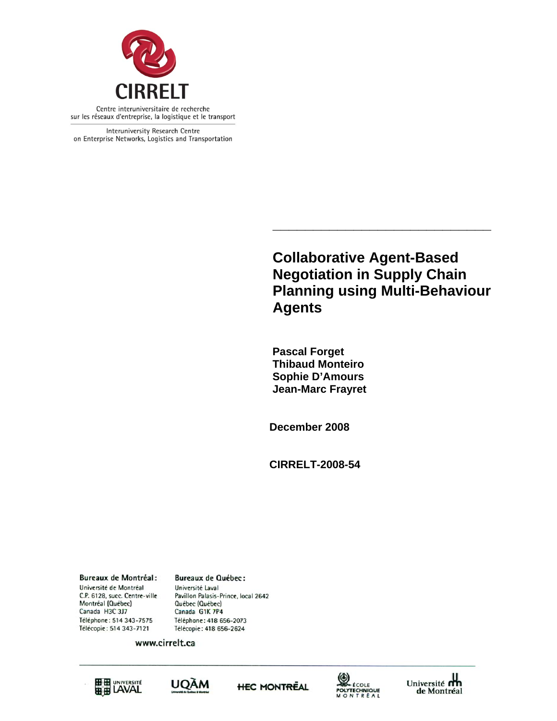

Interuniversity Research Centre on Enterprise Networks, Logistics and Transportation

> **Collaborative Agent-Based Negotiation in Supply Chain Planning using Multi-Behaviour Agents**

> **\_\_\_\_\_\_\_\_\_\_\_\_\_\_\_\_\_\_\_\_\_\_\_\_\_\_\_**

 **Pascal Forget Thibaud Monteiro Sophie D'Amours Jean-Marc Frayret** 

**December 2008** 

**CIRRELT-2008-54** 

**Bureaux de Montréal:** Université de Montréal C.P. 6128, succ. Centre-ville Montréal (Québec) Canada H3C 3J7 Téléphone: 514 343-7575 Télécopie: 514 343-7121

Université Laval Pavillon Palasis-Prince, local 2642 Québec (Québec) Canada G1K 7P4 Téléphone: 418 656-2073 Télécopie: 418 656-2624

**Bureaux de Québec:** 

www.cirrelt.ca









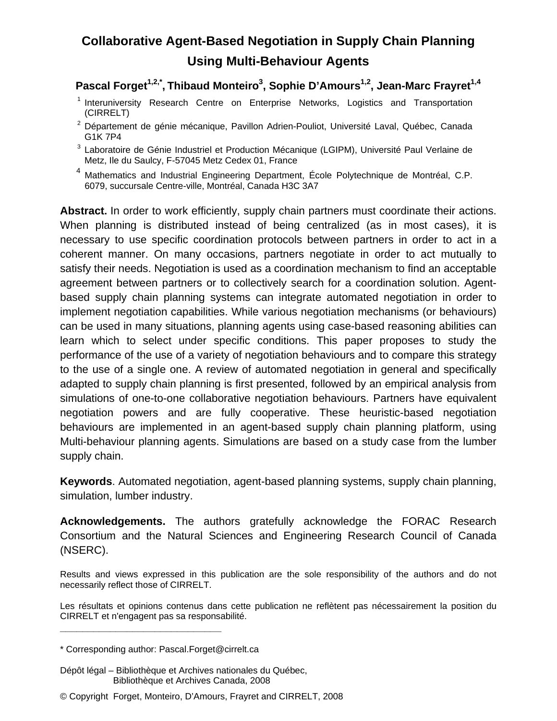# **Collaborative Agent-Based Negotiation in Supply Chain Planning Using Multi-Behaviour Agents**

Pascal Forget<sup>1,2,\*</sup>, Thibaud Monteiro<sup>3</sup>, Sophie D'Amours<sup>1,2</sup>, Jean-Marc Frayret<sup>1,4</sup>

- <sup>1</sup> Interuniversity Research Centre on Enterprise Networks, Logistics and Transportation (CIRRELT)
- <sup>2</sup> Département de génie mécanique, Pavillon Adrien-Pouliot, Université Laval, Québec, Canada G1K 7P4
- <sup>3</sup> Laboratoire de Génie Industriel et Production Mécanique (LGIPM), Université Paul Verlaine de Metz, Ile du Saulcy, F-57045 Metz Cedex 01, France
- <sup>4</sup> Mathematics and Industrial Engineering Department, École Polytechnique de Montréal, C.P. 6079, succursale Centre-ville, Montréal, Canada H3C 3A7

Abstract. In order to work efficiently, supply chain partners must coordinate their actions. When planning is distributed instead of being centralized (as in most cases), it is necessary to use specific coordination protocols between partners in order to act in a coherent manner. On many occasions, partners negotiate in order to act mutually to satisfy their needs. Negotiation is used as a coordination mechanism to find an acceptable agreement between partners or to collectively search for a coordination solution. Agentbased supply chain planning systems can integrate automated negotiation in order to implement negotiation capabilities. While various negotiation mechanisms (or behaviours) can be used in many situations, planning agents using case-based reasoning abilities can learn which to select under specific conditions. This paper proposes to study the performance of the use of a variety of negotiation behaviours and to compare this strategy to the use of a single one. A review of automated negotiation in general and specifically adapted to supply chain planning is first presented, followed by an empirical analysis from simulations of one-to-one collaborative negotiation behaviours. Partners have equivalent negotiation powers and are fully cooperative. These heuristic-based negotiation behaviours are implemented in an agent-based supply chain planning platform, using Multi-behaviour planning agents. Simulations are based on a study case from the lumber supply chain.

**Keywords**. Automated negotiation, agent-based planning systems, supply chain planning, simulation, lumber industry.

**Acknowledgements.** The authors gratefully acknowledge the FORAC Research Consortium and the Natural Sciences and Engineering Research Council of Canada (NSERC).

Results and views expressed in this publication are the sole responsibility of the authors and do not necessarily reflect those of CIRRELT.

Les résultats et opinions contenus dans cette publication ne reflètent pas nécessairement la position du CIRRELT et n'engagent pas sa responsabilité.

**\_\_\_\_\_\_\_\_\_\_\_\_\_\_\_\_\_\_\_\_\_\_\_\_\_\_\_\_\_**

<sup>\*</sup> Corresponding author: Pascal.Forget@cirrelt.ca

Dépôt légal – Bibliothèque et Archives nationales du Québec, Bibliothèque et Archives Canada, 2008

<sup>©</sup> Copyright Forget, Monteiro, D'Amours, Frayret and CIRRELT, 2008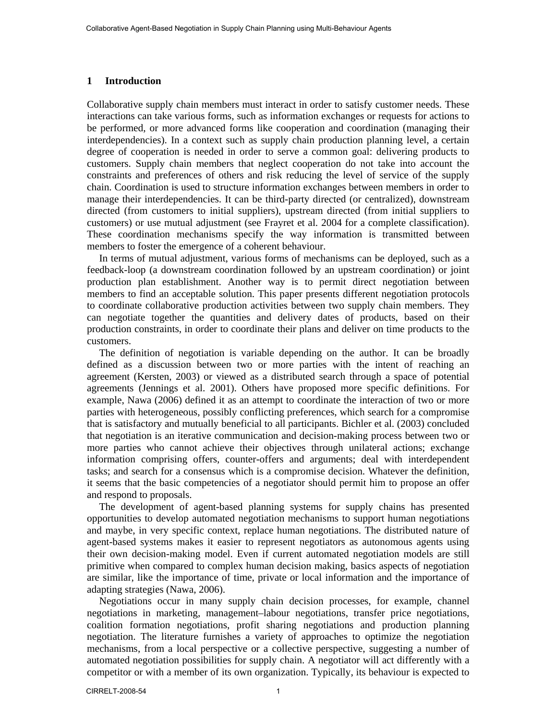#### **1 Introduction**

Collaborative supply chain members must interact in order to satisfy customer needs. These interactions can take various forms, such as information exchanges or requests for actions to be performed, or more advanced forms like cooperation and coordination (managing their interdependencies). In a context such as supply chain production planning level, a certain degree of cooperation is needed in order to serve a common goal: delivering products to customers. Supply chain members that neglect cooperation do not take into account the constraints and preferences of others and risk reducing the level of service of the supply chain. Coordination is used to structure information exchanges between members in order to manage their interdependencies. It can be third-party directed (or centralized), downstream directed (from customers to initial suppliers), upstream directed (from initial suppliers to customers) or use mutual adjustment (see Frayret et al. 2004 for a complete classification). These coordination mechanisms specify the way information is transmitted between members to foster the emergence of a coherent behaviour.

In terms of mutual adjustment, various forms of mechanisms can be deployed, such as a feedback-loop (a downstream coordination followed by an upstream coordination) or joint production plan establishment. Another way is to permit direct negotiation between members to find an acceptable solution. This paper presents different negotiation protocols to coordinate collaborative production activities between two supply chain members. They can negotiate together the quantities and delivery dates of products, based on their production constraints, in order to coordinate their plans and deliver on time products to the customers.

The definition of negotiation is variable depending on the author. It can be broadly defined as a discussion between two or more parties with the intent of reaching an agreement (Kersten, 2003) or viewed as a distributed search through a space of potential agreements (Jennings et al. 2001). Others have proposed more specific definitions. For example, Nawa (2006) defined it as an attempt to coordinate the interaction of two or more parties with heterogeneous, possibly conflicting preferences, which search for a compromise that is satisfactory and mutually beneficial to all participants. Bichler et al. (2003) concluded that negotiation is an iterative communication and decision-making process between two or more parties who cannot achieve their objectives through unilateral actions; exchange information comprising offers, counter-offers and arguments; deal with interdependent tasks; and search for a consensus which is a compromise decision. Whatever the definition, it seems that the basic competencies of a negotiator should permit him to propose an offer and respond to proposals.

The development of agent-based planning systems for supply chains has presented opportunities to develop automated negotiation mechanisms to support human negotiations and maybe, in very specific context, replace human negotiations. The distributed nature of agent-based systems makes it easier to represent negotiators as autonomous agents using their own decision-making model. Even if current automated negotiation models are still primitive when compared to complex human decision making, basics aspects of negotiation are similar, like the importance of time, private or local information and the importance of adapting strategies (Nawa, 2006).

Negotiations occur in many supply chain decision processes, for example, channel negotiations in marketing, management–labour negotiations, transfer price negotiations, coalition formation negotiations, profit sharing negotiations and production planning negotiation. The literature furnishes a variety of approaches to optimize the negotiation mechanisms, from a local perspective or a collective perspective, suggesting a number of automated negotiation possibilities for supply chain. A negotiator will act differently with a competitor or with a member of its own organization. Typically, its behaviour is expected to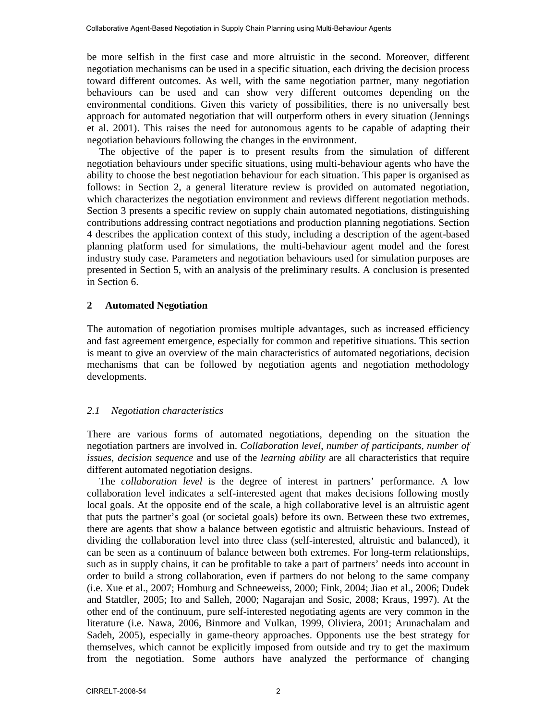be more selfish in the first case and more altruistic in the second. Moreover, different negotiation mechanisms can be used in a specific situation, each driving the decision process toward different outcomes. As well, with the same negotiation partner, many negotiation behaviours can be used and can show very different outcomes depending on the environmental conditions. Given this variety of possibilities, there is no universally best approach for automated negotiation that will outperform others in every situation (Jennings et al. 2001). This raises the need for autonomous agents to be capable of adapting their negotiation behaviours following the changes in the environment.

The objective of the paper is to present results from the simulation of different negotiation behaviours under specific situations, using multi-behaviour agents who have the ability to choose the best negotiation behaviour for each situation. This paper is organised as follows: in Section 2, a general literature review is provided on automated negotiation, which characterizes the negotiation environment and reviews different negotiation methods. Section 3 presents a specific review on supply chain automated negotiations, distinguishing contributions addressing contract negotiations and production planning negotiations. Section 4 describes the application context of this study, including a description of the agent-based planning platform used for simulations, the multi-behaviour agent model and the forest industry study case. Parameters and negotiation behaviours used for simulation purposes are presented in Section 5, with an analysis of the preliminary results. A conclusion is presented in Section 6.

## **2 Automated Negotiation**

The automation of negotiation promises multiple advantages, such as increased efficiency and fast agreement emergence, especially for common and repetitive situations. This section is meant to give an overview of the main characteristics of automated negotiations, decision mechanisms that can be followed by negotiation agents and negotiation methodology developments.

# *2.1 Negotiation characteristics*

There are various forms of automated negotiations, depending on the situation the negotiation partners are involved in. *Collaboration level*, *number of participants*, *number of issues*, *decision sequence* and use of the *learning ability* are all characteristics that require different automated negotiation designs.

The *collaboration level* is the degree of interest in partners' performance. A low collaboration level indicates a self-interested agent that makes decisions following mostly local goals. At the opposite end of the scale, a high collaborative level is an altruistic agent that puts the partner's goal (or societal goals) before its own. Between these two extremes, there are agents that show a balance between egotistic and altruistic behaviours. Instead of dividing the collaboration level into three class (self-interested, altruistic and balanced), it can be seen as a continuum of balance between both extremes. For long-term relationships, such as in supply chains, it can be profitable to take a part of partners' needs into account in order to build a strong collaboration, even if partners do not belong to the same company (i.e. Xue et al., 2007; Homburg and Schneeweiss, 2000; Fink, 2004; Jiao et al., 2006; Dudek and Statdler, 2005; Ito and Salleh, 2000; Nagarajan and Sosic, 2008; Kraus, 1997). At the other end of the continuum, pure self-interested negotiating agents are very common in the literature (i.e. Nawa, 2006, Binmore and Vulkan, 1999, Oliviera, 2001; Arunachalam and Sadeh, 2005), especially in game-theory approaches. Opponents use the best strategy for themselves, which cannot be explicitly imposed from outside and try to get the maximum from the negotiation. Some authors have analyzed the performance of changing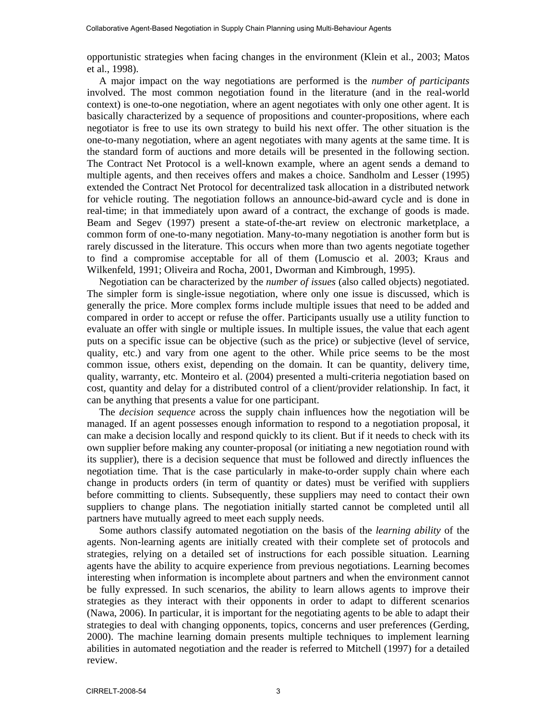opportunistic strategies when facing changes in the environment (Klein et al., 2003; Matos et al., 1998).

A major impact on the way negotiations are performed is the *number of participants* involved. The most common negotiation found in the literature (and in the real-world context) is one-to-one negotiation, where an agent negotiates with only one other agent. It is basically characterized by a sequence of propositions and counter-propositions, where each negotiator is free to use its own strategy to build his next offer. The other situation is the one-to-many negotiation, where an agent negotiates with many agents at the same time. It is the standard form of auctions and more details will be presented in the following section. The Contract Net Protocol is a well-known example, where an agent sends a demand to multiple agents, and then receives offers and makes a choice. Sandholm and Lesser (1995) extended the Contract Net Protocol for decentralized task allocation in a distributed network for vehicle routing. The negotiation follows an announce-bid-award cycle and is done in real-time; in that immediately upon award of a contract, the exchange of goods is made. Beam and Segev (1997) present a state-of-the-art review on electronic marketplace, a common form of one-to-many negotiation. Many-to-many negotiation is another form but is rarely discussed in the literature. This occurs when more than two agents negotiate together to find a compromise acceptable for all of them (Lomuscio et al. 2003; Kraus and Wilkenfeld, 1991; Oliveira and Rocha, 2001, Dworman and Kimbrough, 1995).

Negotiation can be characterized by the *number of issues* (also called objects) negotiated. The simpler form is single-issue negotiation, where only one issue is discussed, which is generally the price. More complex forms include multiple issues that need to be added and compared in order to accept or refuse the offer. Participants usually use a utility function to evaluate an offer with single or multiple issues. In multiple issues, the value that each agent puts on a specific issue can be objective (such as the price) or subjective (level of service, quality, etc.) and vary from one agent to the other. While price seems to be the most common issue, others exist, depending on the domain. It can be quantity, delivery time, quality, warranty, etc. Monteiro et al. (2004) presented a multi-criteria negotiation based on cost, quantity and delay for a distributed control of a client/provider relationship. In fact, it can be anything that presents a value for one participant.

The *decision sequence* across the supply chain influences how the negotiation will be managed. If an agent possesses enough information to respond to a negotiation proposal, it can make a decision locally and respond quickly to its client. But if it needs to check with its own supplier before making any counter-proposal (or initiating a new negotiation round with its supplier), there is a decision sequence that must be followed and directly influences the negotiation time. That is the case particularly in make-to-order supply chain where each change in products orders (in term of quantity or dates) must be verified with suppliers before committing to clients. Subsequently, these suppliers may need to contact their own suppliers to change plans. The negotiation initially started cannot be completed until all partners have mutually agreed to meet each supply needs.

Some authors classify automated negotiation on the basis of the *learning ability* of the agents. Non-learning agents are initially created with their complete set of protocols and strategies, relying on a detailed set of instructions for each possible situation. Learning agents have the ability to acquire experience from previous negotiations. Learning becomes interesting when information is incomplete about partners and when the environment cannot be fully expressed. In such scenarios, the ability to learn allows agents to improve their strategies as they interact with their opponents in order to adapt to different scenarios (Nawa, 2006). In particular, it is important for the negotiating agents to be able to adapt their strategies to deal with changing opponents, topics, concerns and user preferences (Gerding, 2000). The machine learning domain presents multiple techniques to implement learning abilities in automated negotiation and the reader is referred to Mitchell (1997) for a detailed review.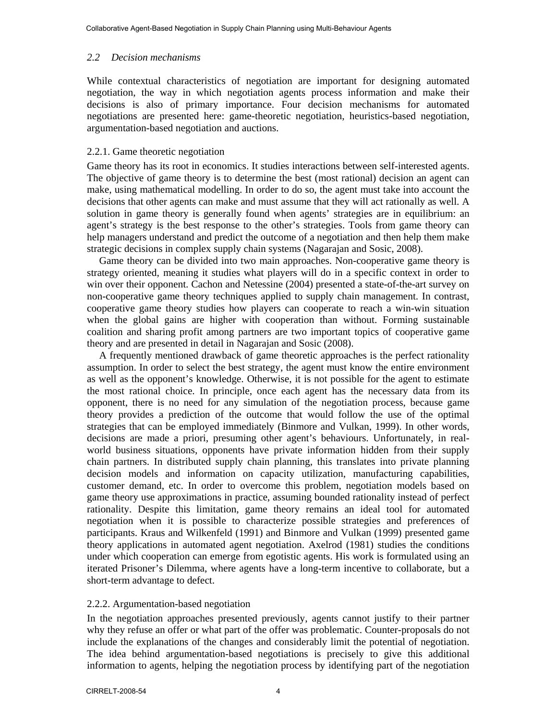# *2.2 Decision mechanisms*

While contextual characteristics of negotiation are important for designing automated negotiation, the way in which negotiation agents process information and make their decisions is also of primary importance. Four decision mechanisms for automated negotiations are presented here: game-theoretic negotiation, heuristics-based negotiation, argumentation-based negotiation and auctions.

# 2.2.1. Game theoretic negotiation

Game theory has its root in economics. It studies interactions between self-interested agents. The objective of game theory is to determine the best (most rational) decision an agent can make, using mathematical modelling. In order to do so, the agent must take into account the decisions that other agents can make and must assume that they will act rationally as well. A solution in game theory is generally found when agents' strategies are in equilibrium: an agent's strategy is the best response to the other's strategies. Tools from game theory can help managers understand and predict the outcome of a negotiation and then help them make strategic decisions in complex supply chain systems (Nagarajan and Sosic, 2008).

Game theory can be divided into two main approaches. Non-cooperative game theory is strategy oriented, meaning it studies what players will do in a specific context in order to win over their opponent. Cachon and Netessine (2004) presented a state-of-the-art survey on non-cooperative game theory techniques applied to supply chain management. In contrast, cooperative game theory studies how players can cooperate to reach a win-win situation when the global gains are higher with cooperation than without. Forming sustainable coalition and sharing profit among partners are two important topics of cooperative game theory and are presented in detail in Nagarajan and Sosic (2008).

A frequently mentioned drawback of game theoretic approaches is the perfect rationality assumption. In order to select the best strategy, the agent must know the entire environment as well as the opponent's knowledge. Otherwise, it is not possible for the agent to estimate the most rational choice. In principle, once each agent has the necessary data from its opponent, there is no need for any simulation of the negotiation process, because game theory provides a prediction of the outcome that would follow the use of the optimal strategies that can be employed immediately (Binmore and Vulkan, 1999). In other words, decisions are made a priori, presuming other agent's behaviours. Unfortunately, in realworld business situations, opponents have private information hidden from their supply chain partners. In distributed supply chain planning, this translates into private planning decision models and information on capacity utilization, manufacturing capabilities, customer demand, etc. In order to overcome this problem, negotiation models based on game theory use approximations in practice, assuming bounded rationality instead of perfect rationality. Despite this limitation, game theory remains an ideal tool for automated negotiation when it is possible to characterize possible strategies and preferences of participants. Kraus and Wilkenfeld (1991) and Binmore and Vulkan (1999) presented game theory applications in automated agent negotiation. Axelrod (1981) studies the conditions under which cooperation can emerge from egotistic agents. His work is formulated using an iterated Prisoner's Dilemma, where agents have a long-term incentive to collaborate, but a short-term advantage to defect.

# 2.2.2. Argumentation-based negotiation

In the negotiation approaches presented previously, agents cannot justify to their partner why they refuse an offer or what part of the offer was problematic. Counter-proposals do not include the explanations of the changes and considerably limit the potential of negotiation. The idea behind argumentation-based negotiations is precisely to give this additional information to agents, helping the negotiation process by identifying part of the negotiation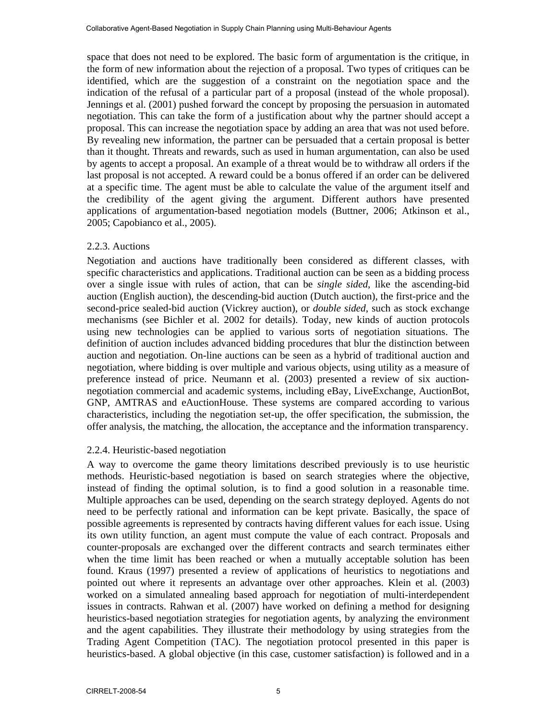space that does not need to be explored. The basic form of argumentation is the critique, in the form of new information about the rejection of a proposal. Two types of critiques can be identified, which are the suggestion of a constraint on the negotiation space and the indication of the refusal of a particular part of a proposal (instead of the whole proposal). Jennings et al. (2001) pushed forward the concept by proposing the persuasion in automated negotiation. This can take the form of a justification about why the partner should accept a proposal. This can increase the negotiation space by adding an area that was not used before. By revealing new information, the partner can be persuaded that a certain proposal is better than it thought. Threats and rewards, such as used in human argumentation, can also be used by agents to accept a proposal. An example of a threat would be to withdraw all orders if the last proposal is not accepted. A reward could be a bonus offered if an order can be delivered at a specific time. The agent must be able to calculate the value of the argument itself and the credibility of the agent giving the argument. Different authors have presented applications of argumentation-based negotiation models (Buttner, 2006; Atkinson et al., 2005; Capobianco et al., 2005).

## 2.2.3. Auctions

Negotiation and auctions have traditionally been considered as different classes, with specific characteristics and applications. Traditional auction can be seen as a bidding process over a single issue with rules of action, that can be *single sided*, like the ascending-bid auction (English auction), the descending-bid auction (Dutch auction), the first-price and the second-price sealed-bid auction (Vickrey auction), or *double sided*, such as stock exchange mechanisms (see Bichler et al. 2002 for details). Today, new kinds of auction protocols using new technologies can be applied to various sorts of negotiation situations. The definition of auction includes advanced bidding procedures that blur the distinction between auction and negotiation. On-line auctions can be seen as a hybrid of traditional auction and negotiation, where bidding is over multiple and various objects, using utility as a measure of preference instead of price. Neumann et al. (2003) presented a review of six auctionnegotiation commercial and academic systems, including eBay, LiveExchange, AuctionBot, GNP, AMTRAS and eAuctionHouse. These systems are compared according to various characteristics, including the negotiation set-up, the offer specification, the submission, the offer analysis, the matching, the allocation, the acceptance and the information transparency.

### 2.2.4. Heuristic-based negotiation

A way to overcome the game theory limitations described previously is to use heuristic methods. Heuristic-based negotiation is based on search strategies where the objective, instead of finding the optimal solution, is to find a good solution in a reasonable time. Multiple approaches can be used, depending on the search strategy deployed. Agents do not need to be perfectly rational and information can be kept private. Basically, the space of possible agreements is represented by contracts having different values for each issue. Using its own utility function, an agent must compute the value of each contract. Proposals and counter-proposals are exchanged over the different contracts and search terminates either when the time limit has been reached or when a mutually acceptable solution has been found. Kraus (1997) presented a review of applications of heuristics to negotiations and pointed out where it represents an advantage over other approaches. Klein et al. (2003) worked on a simulated annealing based approach for negotiation of multi-interdependent issues in contracts. Rahwan et al. (2007) have worked on defining a method for designing heuristics-based negotiation strategies for negotiation agents, by analyzing the environment and the agent capabilities. They illustrate their methodology by using strategies from the Trading Agent Competition (TAC). The negotiation protocol presented in this paper is heuristics-based. A global objective (in this case, customer satisfaction) is followed and in a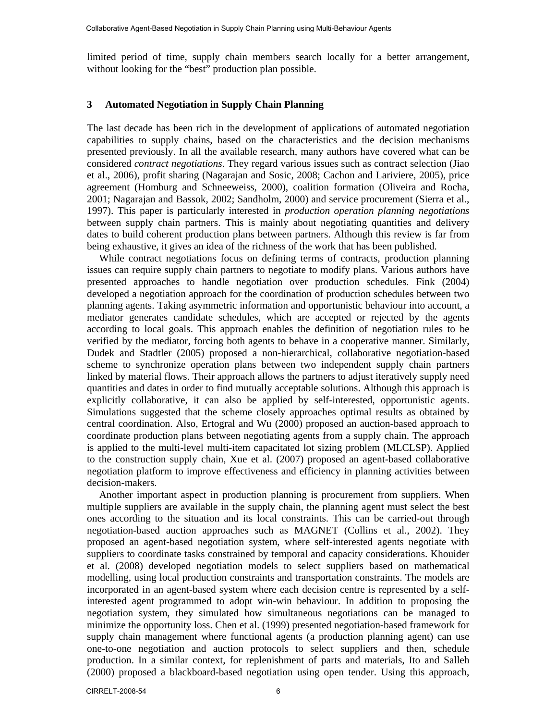limited period of time, supply chain members search locally for a better arrangement, without looking for the "best" production plan possible.

## **3 Automated Negotiation in Supply Chain Planning**

The last decade has been rich in the development of applications of automated negotiation capabilities to supply chains, based on the characteristics and the decision mechanisms presented previously. In all the available research, many authors have covered what can be considered *contract negotiations*. They regard various issues such as contract selection (Jiao et al., 2006), profit sharing (Nagarajan and Sosic, 2008; Cachon and Lariviere, 2005), price agreement (Homburg and Schneeweiss, 2000), coalition formation (Oliveira and Rocha, 2001; Nagarajan and Bassok, 2002; Sandholm, 2000) and service procurement (Sierra et al., 1997). This paper is particularly interested in *production operation planning negotiations* between supply chain partners. This is mainly about negotiating quantities and delivery dates to build coherent production plans between partners. Although this review is far from being exhaustive, it gives an idea of the richness of the work that has been published.

While contract negotiations focus on defining terms of contracts, production planning issues can require supply chain partners to negotiate to modify plans. Various authors have presented approaches to handle negotiation over production schedules. Fink (2004) developed a negotiation approach for the coordination of production schedules between two planning agents. Taking asymmetric information and opportunistic behaviour into account, a mediator generates candidate schedules, which are accepted or rejected by the agents according to local goals. This approach enables the definition of negotiation rules to be verified by the mediator, forcing both agents to behave in a cooperative manner. Similarly, Dudek and Stadtler (2005) proposed a non-hierarchical, collaborative negotiation-based scheme to synchronize operation plans between two independent supply chain partners linked by material flows. Their approach allows the partners to adjust iteratively supply need quantities and dates in order to find mutually acceptable solutions. Although this approach is explicitly collaborative, it can also be applied by self-interested, opportunistic agents. Simulations suggested that the scheme closely approaches optimal results as obtained by central coordination. Also, Ertogral and Wu (2000) proposed an auction-based approach to coordinate production plans between negotiating agents from a supply chain. The approach is applied to the multi-level multi-item capacitated lot sizing problem (MLCLSP). Applied to the construction supply chain, Xue et al. (2007) proposed an agent-based collaborative negotiation platform to improve effectiveness and efficiency in planning activities between decision-makers.

Another important aspect in production planning is procurement from suppliers. When multiple suppliers are available in the supply chain, the planning agent must select the best ones according to the situation and its local constraints. This can be carried-out through negotiation-based auction approaches such as MAGNET (Collins et al., 2002). They proposed an agent-based negotiation system, where self-interested agents negotiate with suppliers to coordinate tasks constrained by temporal and capacity considerations. Khouider et al. (2008) developed negotiation models to select suppliers based on mathematical modelling, using local production constraints and transportation constraints. The models are incorporated in an agent-based system where each decision centre is represented by a selfinterested agent programmed to adopt win-win behaviour. In addition to proposing the negotiation system, they simulated how simultaneous negotiations can be managed to minimize the opportunity loss. Chen et al. (1999) presented negotiation-based framework for supply chain management where functional agents (a production planning agent) can use one-to-one negotiation and auction protocols to select suppliers and then, schedule production. In a similar context, for replenishment of parts and materials, Ito and Salleh (2000) proposed a blackboard-based negotiation using open tender. Using this approach,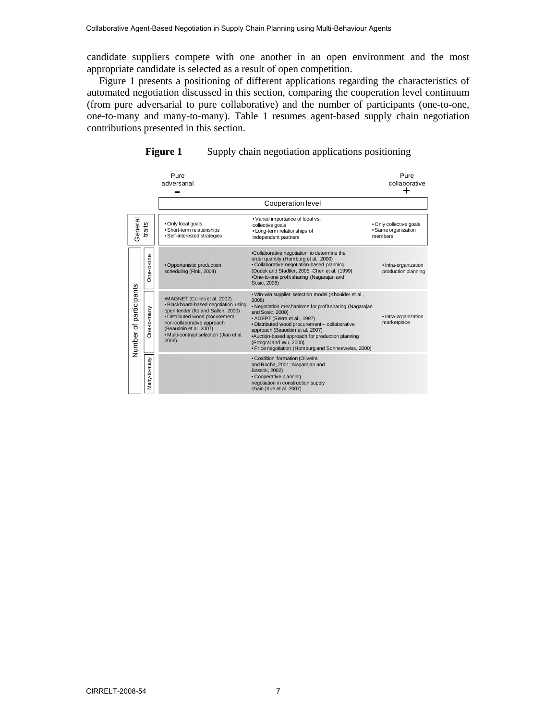candidate suppliers compete with one another in an open environment and the most appropriate candidate is selected as a result of open competition.

Figure 1 presents a positioning of different applications regarding the characteristics of automated negotiation discussed in this section, comparing the cooperation level continuum (from pure adversarial to pure collaborative) and the number of participants (one-to-one, one-to-many and many-to-many). Table 1 resumes agent-based supply chain negotiation contributions presented in this section.



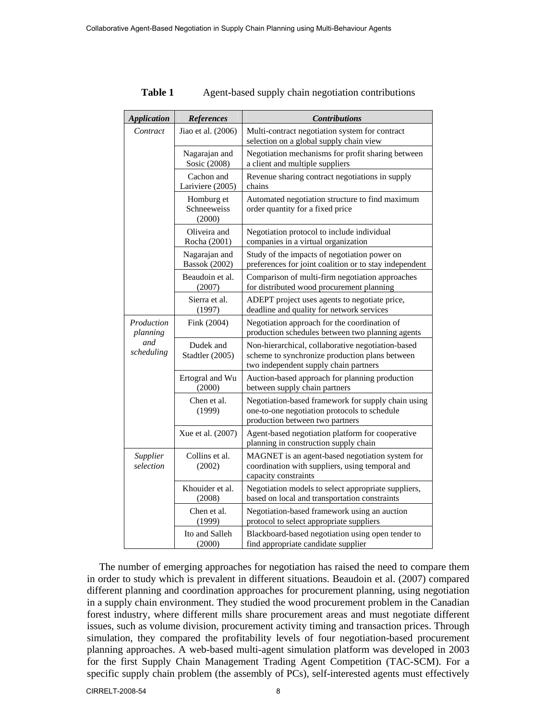| <b>Application</b>                          | <b>References</b>                     | <b>Contributions</b>                                                                                                                         |  |
|---------------------------------------------|---------------------------------------|----------------------------------------------------------------------------------------------------------------------------------------------|--|
| Contract                                    | Jiao et al. (2006)                    | Multi-contract negotiation system for contract<br>selection on a global supply chain view                                                    |  |
|                                             | Nagarajan and<br>Sosic (2008)         | Negotiation mechanisms for profit sharing between<br>a client and multiple suppliers                                                         |  |
|                                             | Cachon and<br>Lariviere (2005)        | Revenue sharing contract negotiations in supply<br>chains                                                                                    |  |
|                                             | Homburg et<br>Schneeweiss<br>(2000)   | Automated negotiation structure to find maximum<br>order quantity for a fixed price                                                          |  |
|                                             | Oliveira and<br>Rocha (2001)          | Negotiation protocol to include individual<br>companies in a virtual organization                                                            |  |
|                                             | Nagarajan and<br><b>Bassok</b> (2002) | Study of the impacts of negotiation power on<br>preferences for joint coalition or to stay independent                                       |  |
|                                             | Beaudoin et al.<br>(2007)             | Comparison of multi-firm negotiation approaches<br>for distributed wood procurement planning                                                 |  |
|                                             | Sierra et al.<br>(1997)               | ADEPT project uses agents to negotiate price,<br>deadline and quality for network services                                                   |  |
| Production<br>planning<br>and<br>scheduling | Fink (2004)                           | Negotiation approach for the coordination of<br>production schedules between two planning agents                                             |  |
|                                             | Dudek and<br>Stadtler (2005)          | Non-hierarchical, collaborative negotiation-based<br>scheme to synchronize production plans between<br>two independent supply chain partners |  |
|                                             | Ertogral and Wu<br>(2000)             | Auction-based approach for planning production<br>between supply chain partners                                                              |  |
|                                             | Chen et al.<br>(1999)                 | Negotiation-based framework for supply chain using<br>one-to-one negotiation protocols to schedule<br>production between two partners        |  |
|                                             | Xue et al. (2007)                     | Agent-based negotiation platform for cooperative<br>planning in construction supply chain                                                    |  |
| Supplier<br>selection                       | Collins et al.<br>(2002)              | MAGNET is an agent-based negotiation system for<br>coordination with suppliers, using temporal and<br>capacity constraints                   |  |
|                                             | Khouider et al.<br>(2008)             | Negotiation models to select appropriate suppliers,<br>based on local and transportation constraints                                         |  |
|                                             | Chen et al.<br>(1999)                 | Negotiation-based framework using an auction<br>protocol to select appropriate suppliers                                                     |  |
|                                             | Ito and Salleh<br>(2000)              | Blackboard-based negotiation using open tender to<br>find appropriate candidate supplier                                                     |  |

**Table 1** Agent-based supply chain negotiation contributions

The number of emerging approaches for negotiation has raised the need to compare them in order to study which is prevalent in different situations. Beaudoin et al. (2007) compared different planning and coordination approaches for procurement planning, using negotiation in a supply chain environment. They studied the wood procurement problem in the Canadian forest industry, where different mills share procurement areas and must negotiate different issues, such as volume division, procurement activity timing and transaction prices. Through simulation, they compared the profitability levels of four negotiation-based procurement planning approaches. A web-based multi-agent simulation platform was developed in 2003 for the first Supply Chain Management Trading Agent Competition (TAC-SCM). For a specific supply chain problem (the assembly of PCs), self-interested agents must effectively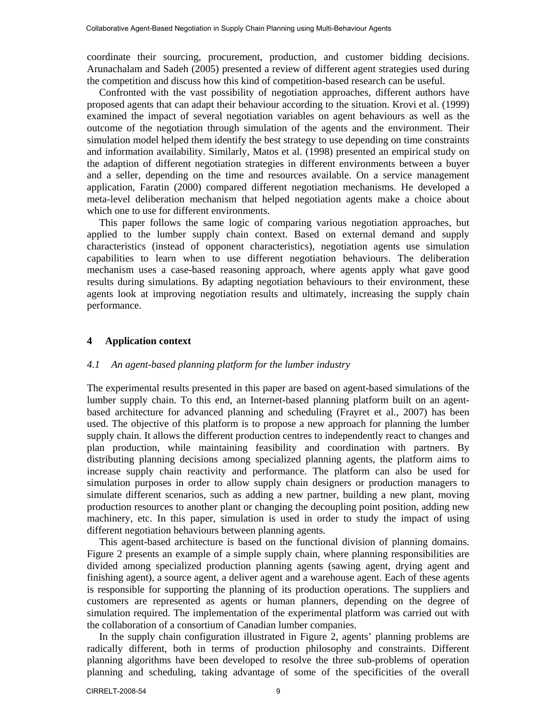coordinate their sourcing, procurement, production, and customer bidding decisions. Arunachalam and Sadeh (2005) presented a review of different agent strategies used during the competition and discuss how this kind of competition-based research can be useful.

Confronted with the vast possibility of negotiation approaches, different authors have proposed agents that can adapt their behaviour according to the situation. Krovi et al. (1999) examined the impact of several negotiation variables on agent behaviours as well as the outcome of the negotiation through simulation of the agents and the environment. Their simulation model helped them identify the best strategy to use depending on time constraints and information availability. Similarly, Matos et al. (1998) presented an empirical study on the adaption of different negotiation strategies in different environments between a buyer and a seller, depending on the time and resources available. On a service management application, Faratin (2000) compared different negotiation mechanisms. He developed a meta-level deliberation mechanism that helped negotiation agents make a choice about which one to use for different environments.

This paper follows the same logic of comparing various negotiation approaches, but applied to the lumber supply chain context. Based on external demand and supply characteristics (instead of opponent characteristics), negotiation agents use simulation capabilities to learn when to use different negotiation behaviours. The deliberation mechanism uses a case-based reasoning approach, where agents apply what gave good results during simulations. By adapting negotiation behaviours to their environment, these agents look at improving negotiation results and ultimately, increasing the supply chain performance.

#### **4 Application context**

#### *4.1 An agent-based planning platform for the lumber industry*

The experimental results presented in this paper are based on agent-based simulations of the lumber supply chain. To this end, an Internet-based planning platform built on an agentbased architecture for advanced planning and scheduling (Frayret et al., 2007) has been used. The objective of this platform is to propose a new approach for planning the lumber supply chain. It allows the different production centres to independently react to changes and plan production, while maintaining feasibility and coordination with partners. By distributing planning decisions among specialized planning agents, the platform aims to increase supply chain reactivity and performance. The platform can also be used for simulation purposes in order to allow supply chain designers or production managers to simulate different scenarios, such as adding a new partner, building a new plant, moving production resources to another plant or changing the decoupling point position, adding new machinery, etc. In this paper, simulation is used in order to study the impact of using different negotiation behaviours between planning agents.

This agent-based architecture is based on the functional division of planning domains. Figure 2 presents an example of a simple supply chain, where planning responsibilities are divided among specialized production planning agents (sawing agent, drying agent and finishing agent), a source agent, a deliver agent and a warehouse agent. Each of these agents is responsible for supporting the planning of its production operations. The suppliers and customers are represented as agents or human planners, depending on the degree of simulation required. The implementation of the experimental platform was carried out with the collaboration of a consortium of Canadian lumber companies.

In the supply chain configuration illustrated in Figure 2, agents' planning problems are radically different, both in terms of production philosophy and constraints. Different planning algorithms have been developed to resolve the three sub-problems of operation planning and scheduling, taking advantage of some of the specificities of the overall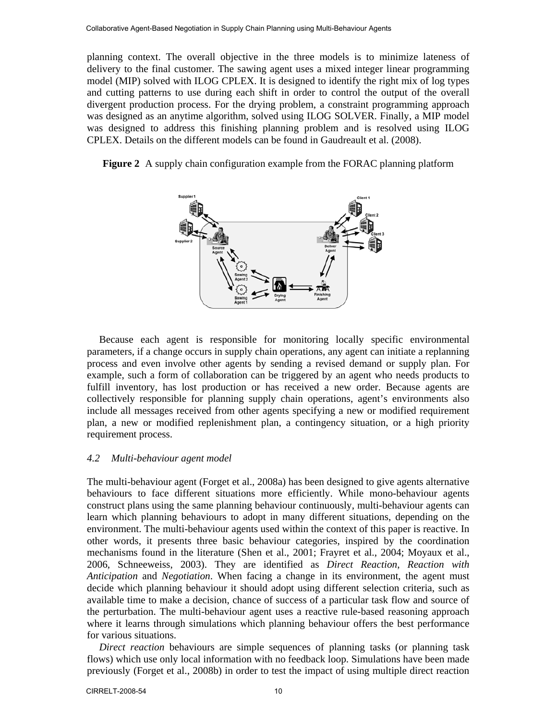planning context. The overall objective in the three models is to minimize lateness of delivery to the final customer. The sawing agent uses a mixed integer linear programming model (MIP) solved with ILOG CPLEX. It is designed to identify the right mix of log types and cutting patterns to use during each shift in order to control the output of the overall divergent production process. For the drying problem, a constraint programming approach was designed as an anytime algorithm, solved using ILOG SOLVER. Finally, a MIP model was designed to address this finishing planning problem and is resolved using ILOG CPLEX. Details on the different models can be found in Gaudreault et al. (2008).

**Figure 2** A supply chain configuration example from the FORAC planning platform



Because each agent is responsible for monitoring locally specific environmental parameters, if a change occurs in supply chain operations, any agent can initiate a replanning process and even involve other agents by sending a revised demand or supply plan. For example, such a form of collaboration can be triggered by an agent who needs products to fulfill inventory, has lost production or has received a new order. Because agents are collectively responsible for planning supply chain operations, agent's environments also include all messages received from other agents specifying a new or modified requirement plan, a new or modified replenishment plan, a contingency situation, or a high priority requirement process.

### *4.2 Multi-behaviour agent model*

The multi-behaviour agent (Forget et al., 2008a) has been designed to give agents alternative behaviours to face different situations more efficiently. While mono-behaviour agents construct plans using the same planning behaviour continuously, multi-behaviour agents can learn which planning behaviours to adopt in many different situations, depending on the environment. The multi-behaviour agents used within the context of this paper is reactive. In other words, it presents three basic behaviour categories, inspired by the coordination mechanisms found in the literature (Shen et al., 2001; Frayret et al., 2004; Moyaux et al., 2006, Schneeweiss, 2003). They are identified as *Direct Reaction*, *Reaction with Anticipation* and *Negotiation*. When facing a change in its environment, the agent must decide which planning behaviour it should adopt using different selection criteria, such as available time to make a decision, chance of success of a particular task flow and source of the perturbation. The multi-behaviour agent uses a reactive rule-based reasoning approach where it learns through simulations which planning behaviour offers the best performance for various situations.

*Direct reaction* behaviours are simple sequences of planning tasks (or planning task flows) which use only local information with no feedback loop. Simulations have been made previously (Forget et al., 2008b) in order to test the impact of using multiple direct reaction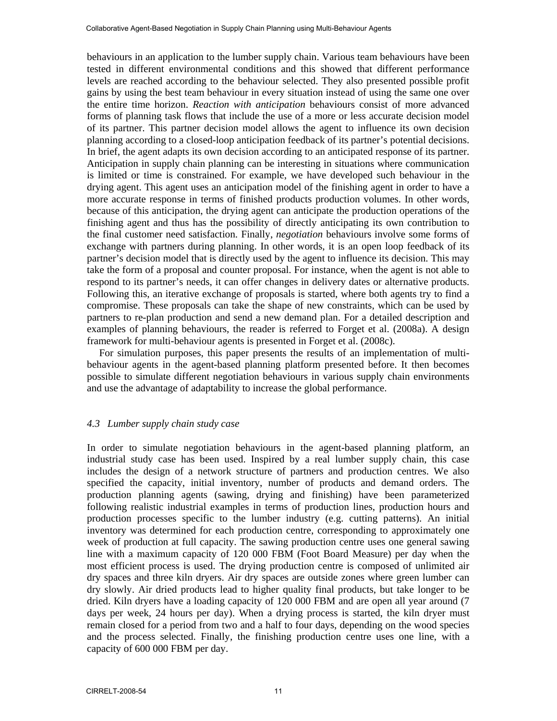behaviours in an application to the lumber supply chain. Various team behaviours have been tested in different environmental conditions and this showed that different performance levels are reached according to the behaviour selected. They also presented possible profit gains by using the best team behaviour in every situation instead of using the same one over the entire time horizon. *Reaction with anticipation* behaviours consist of more advanced forms of planning task flows that include the use of a more or less accurate decision model of its partner. This partner decision model allows the agent to influence its own decision planning according to a closed-loop anticipation feedback of its partner's potential decisions. In brief, the agent adapts its own decision according to an anticipated response of its partner. Anticipation in supply chain planning can be interesting in situations where communication is limited or time is constrained. For example, we have developed such behaviour in the drying agent. This agent uses an anticipation model of the finishing agent in order to have a more accurate response in terms of finished products production volumes. In other words, because of this anticipation, the drying agent can anticipate the production operations of the finishing agent and thus has the possibility of directly anticipating its own contribution to the final customer need satisfaction. Finally, *negotiation* behaviours involve some forms of exchange with partners during planning. In other words, it is an open loop feedback of its partner's decision model that is directly used by the agent to influence its decision. This may take the form of a proposal and counter proposal. For instance, when the agent is not able to respond to its partner's needs, it can offer changes in delivery dates or alternative products. Following this, an iterative exchange of proposals is started, where both agents try to find a compromise. These proposals can take the shape of new constraints, which can be used by partners to re-plan production and send a new demand plan. For a detailed description and examples of planning behaviours, the reader is referred to Forget et al. (2008a). A design framework for multi-behaviour agents is presented in Forget et al. (2008c).

For simulation purposes, this paper presents the results of an implementation of multibehaviour agents in the agent-based planning platform presented before. It then becomes possible to simulate different negotiation behaviours in various supply chain environments and use the advantage of adaptability to increase the global performance.

### *4.3 Lumber supply chain study case*

In order to simulate negotiation behaviours in the agent-based planning platform, an industrial study case has been used. Inspired by a real lumber supply chain, this case includes the design of a network structure of partners and production centres. We also specified the capacity, initial inventory, number of products and demand orders. The production planning agents (sawing, drying and finishing) have been parameterized following realistic industrial examples in terms of production lines, production hours and production processes specific to the lumber industry (e.g. cutting patterns). An initial inventory was determined for each production centre, corresponding to approximately one week of production at full capacity. The sawing production centre uses one general sawing line with a maximum capacity of 120 000 FBM (Foot Board Measure) per day when the most efficient process is used. The drying production centre is composed of unlimited air dry spaces and three kiln dryers. Air dry spaces are outside zones where green lumber can dry slowly. Air dried products lead to higher quality final products, but take longer to be dried. Kiln dryers have a loading capacity of 120 000 FBM and are open all year around (7 days per week, 24 hours per day). When a drying process is started, the kiln dryer must remain closed for a period from two and a half to four days, depending on the wood species and the process selected. Finally, the finishing production centre uses one line, with a capacity of 600 000 FBM per day.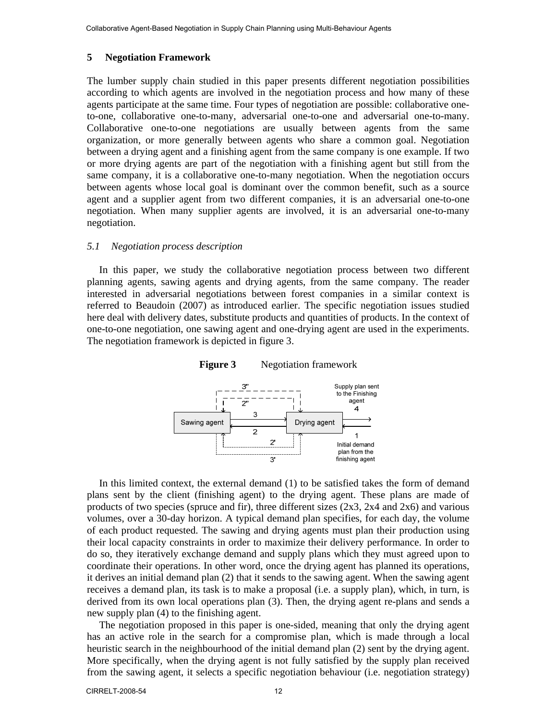#### **5 Negotiation Framework**

The lumber supply chain studied in this paper presents different negotiation possibilities according to which agents are involved in the negotiation process and how many of these agents participate at the same time. Four types of negotiation are possible: collaborative oneto-one, collaborative one-to-many, adversarial one-to-one and adversarial one-to-many. Collaborative one-to-one negotiations are usually between agents from the same organization, or more generally between agents who share a common goal. Negotiation between a drying agent and a finishing agent from the same company is one example. If two or more drying agents are part of the negotiation with a finishing agent but still from the same company, it is a collaborative one-to-many negotiation. When the negotiation occurs between agents whose local goal is dominant over the common benefit, such as a source agent and a supplier agent from two different companies, it is an adversarial one-to-one negotiation. When many supplier agents are involved, it is an adversarial one-to-many negotiation.

#### *5.1 Negotiation process description*

In this paper, we study the collaborative negotiation process between two different planning agents, sawing agents and drying agents, from the same company. The reader interested in adversarial negotiations between forest companies in a similar context is referred to Beaudoin (2007) as introduced earlier. The specific negotiation issues studied here deal with delivery dates, substitute products and quantities of products. In the context of one-to-one negotiation, one sawing agent and one-drying agent are used in the experiments. The negotiation framework is depicted in figure 3.





In this limited context, the external demand (1) to be satisfied takes the form of demand plans sent by the client (finishing agent) to the drying agent. These plans are made of products of two species (spruce and fir), three different sizes  $(2x3, 2x4 \text{ and } 2x6)$  and various volumes, over a 30-day horizon. A typical demand plan specifies, for each day, the volume of each product requested. The sawing and drying agents must plan their production using their local capacity constraints in order to maximize their delivery performance. In order to do so, they iteratively exchange demand and supply plans which they must agreed upon to coordinate their operations. In other word, once the drying agent has planned its operations, it derives an initial demand plan (2) that it sends to the sawing agent. When the sawing agent receives a demand plan, its task is to make a proposal (i.e. a supply plan), which, in turn, is derived from its own local operations plan (3). Then, the drying agent re-plans and sends a new supply plan (4) to the finishing agent.

The negotiation proposed in this paper is one-sided, meaning that only the drying agent has an active role in the search for a compromise plan, which is made through a local heuristic search in the neighbourhood of the initial demand plan  $(2)$  sent by the drying agent. More specifically, when the drying agent is not fully satisfied by the supply plan received from the sawing agent, it selects a specific negotiation behaviour (i.e. negotiation strategy)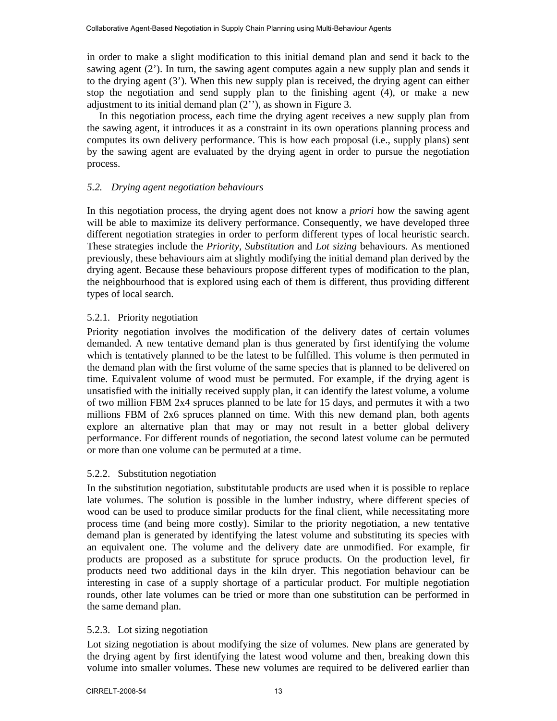in order to make a slight modification to this initial demand plan and send it back to the sawing agent (2'). In turn, the sawing agent computes again a new supply plan and sends it to the drying agent (3'). When this new supply plan is received, the drying agent can either stop the negotiation and send supply plan to the finishing agent (4), or make a new adjustment to its initial demand plan (2''), as shown in Figure 3.

In this negotiation process, each time the drying agent receives a new supply plan from the sawing agent, it introduces it as a constraint in its own operations planning process and computes its own delivery performance. This is how each proposal (i.e., supply plans) sent by the sawing agent are evaluated by the drying agent in order to pursue the negotiation process.

# *5.2. Drying agent negotiation behaviours*

In this negotiation process, the drying agent does not know a *priori* how the sawing agent will be able to maximize its delivery performance. Consequently, we have developed three different negotiation strategies in order to perform different types of local heuristic search. These strategies include the *Priority*, *Substitution* and *Lot sizing* behaviours. As mentioned previously, these behaviours aim at slightly modifying the initial demand plan derived by the drying agent. Because these behaviours propose different types of modification to the plan, the neighbourhood that is explored using each of them is different, thus providing different types of local search.

# 5.2.1. Priority negotiation

Priority negotiation involves the modification of the delivery dates of certain volumes demanded. A new tentative demand plan is thus generated by first identifying the volume which is tentatively planned to be the latest to be fulfilled. This volume is then permuted in the demand plan with the first volume of the same species that is planned to be delivered on time. Equivalent volume of wood must be permuted. For example, if the drying agent is unsatisfied with the initially received supply plan, it can identify the latest volume, a volume of two million FBM 2x4 spruces planned to be late for 15 days, and permutes it with a two millions FBM of 2x6 spruces planned on time. With this new demand plan, both agents explore an alternative plan that may or may not result in a better global delivery performance. For different rounds of negotiation, the second latest volume can be permuted or more than one volume can be permuted at a time.

# 5.2.2. Substitution negotiation

In the substitution negotiation, substitutable products are used when it is possible to replace late volumes. The solution is possible in the lumber industry, where different species of wood can be used to produce similar products for the final client, while necessitating more process time (and being more costly). Similar to the priority negotiation, a new tentative demand plan is generated by identifying the latest volume and substituting its species with an equivalent one. The volume and the delivery date are unmodified. For example, fir products are proposed as a substitute for spruce products. On the production level, fir products need two additional days in the kiln dryer. This negotiation behaviour can be interesting in case of a supply shortage of a particular product. For multiple negotiation rounds, other late volumes can be tried or more than one substitution can be performed in the same demand plan.

# 5.2.3. Lot sizing negotiation

Lot sizing negotiation is about modifying the size of volumes. New plans are generated by the drying agent by first identifying the latest wood volume and then, breaking down this volume into smaller volumes. These new volumes are required to be delivered earlier than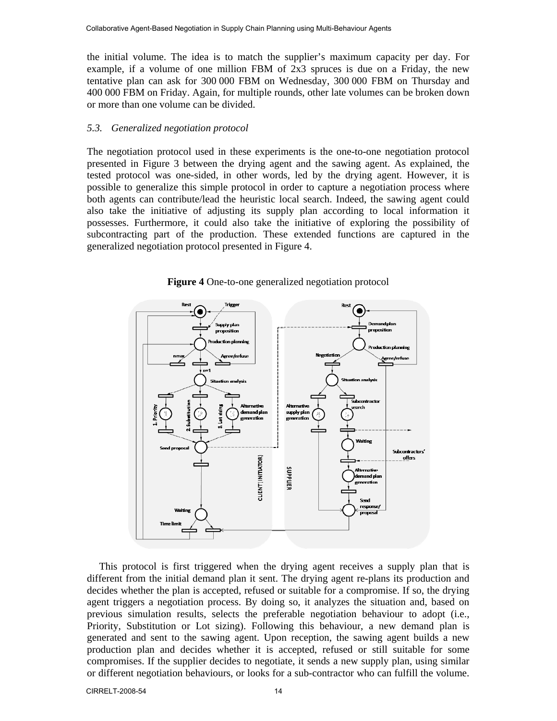the initial volume. The idea is to match the supplier's maximum capacity per day. For example, if a volume of one million FBM of  $2x3$  spruces is due on a Friday, the new tentative plan can ask for 300 000 FBM on Wednesday, 300 000 FBM on Thursday and 400 000 FBM on Friday. Again, for multiple rounds, other late volumes can be broken down or more than one volume can be divided.

#### *5.3. Generalized negotiation protocol*

The negotiation protocol used in these experiments is the one-to-one negotiation protocol presented in Figure 3 between the drying agent and the sawing agent. As explained, the tested protocol was one-sided, in other words, led by the drying agent. However, it is possible to generalize this simple protocol in order to capture a negotiation process where both agents can contribute/lead the heuristic local search. Indeed, the sawing agent could also take the initiative of adjusting its supply plan according to local information it possesses. Furthermore, it could also take the initiative of exploring the possibility of subcontracting part of the production. These extended functions are captured in the generalized negotiation protocol presented in Figure 4.



**Figure 4** One-to-one generalized negotiation protocol

This protocol is first triggered when the drying agent receives a supply plan that is different from the initial demand plan it sent. The drying agent re-plans its production and decides whether the plan is accepted, refused or suitable for a compromise. If so, the drying agent triggers a negotiation process. By doing so, it analyzes the situation and, based on previous simulation results, selects the preferable negotiation behaviour to adopt (i.e., Priority, Substitution or Lot sizing). Following this behaviour, a new demand plan is generated and sent to the sawing agent. Upon reception, the sawing agent builds a new production plan and decides whether it is accepted, refused or still suitable for some compromises. If the supplier decides to negotiate, it sends a new supply plan, using similar or different negotiation behaviours, or looks for a sub-contractor who can fulfill the volume.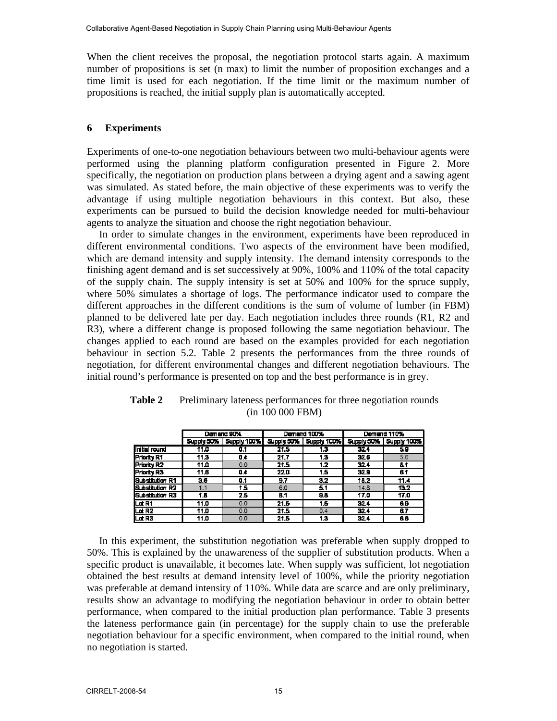When the client receives the proposal, the negotiation protocol starts again. A maximum number of propositions is set (n max) to limit the number of proposition exchanges and a time limit is used for each negotiation. If the time limit or the maximum number of propositions is reached, the initial supply plan is automatically accepted.

## **6 Experiments**

Experiments of one-to-one negotiation behaviours between two multi-behaviour agents were performed using the planning platform configuration presented in Figure 2. More specifically, the negotiation on production plans between a drying agent and a sawing agent was simulated. As stated before, the main objective of these experiments was to verify the advantage if using multiple negotiation behaviours in this context. But also, these experiments can be pursued to build the decision knowledge needed for multi-behaviour agents to analyze the situation and choose the right negotiation behaviour.

In order to simulate changes in the environment, experiments have been reproduced in different environmental conditions. Two aspects of the environment have been modified, which are demand intensity and supply intensity. The demand intensity corresponds to the finishing agent demand and is set successively at 90%, 100% and 110% of the total capacity of the supply chain. The supply intensity is set at 50% and 100% for the spruce supply, where 50% simulates a shortage of logs. The performance indicator used to compare the different approaches in the different conditions is the sum of volume of lumber (in FBM) planned to be delivered late per day. Each negotiation includes three rounds (R1, R2 and R3), where a different change is proposed following the same negotiation behaviour. The changes applied to each round are based on the examples provided for each negotiation behaviour in section 5.2. Table 2 presents the performances from the three rounds of negotiation, for different environmental changes and different negotiation behaviours. The initial round's performance is presented on top and the best performance is in grey.

|                      | Demand 90% |                          | Demand 100% |                    | Demand 110% |             |
|----------------------|------------|--------------------------|-------------|--------------------|-------------|-------------|
|                      | Supply 50% | Supply 100%   Supply 50% |             | <b>Supply 100%</b> | Supply 50%  | Supply 100% |
| <b>Initial round</b> | 11.0       | 0.1                      | 21.5        | 1.3                | 32.4        | 5.9         |
| Priority R1          | 11.3       | 0.4                      | 21.7        | 13                 | 32.6        | 5.6         |
| Priority R2          | 11.0       | 0.0                      | 21.5        | 1.2                | 32.4        | 8.1         |
| <b>Priority R3</b>   | 11.6       | 0.4                      | 220         | 15                 | 32.9        | 6.1         |
| Substitution R1      | 3.6        | 0.1                      | 9.7         | 3.2                | 18.2        | 11.4        |
| Substitution R2      | 1.1        | 1.5                      | 6.0         | 5.1                | 14.8        | 13.2        |
| Substitution R3      | 1.5        | 25                       | B.1         | 98                 | 17.0        | 17.0        |
| Lat <sub>R1</sub>    | 11.0       | 0.0                      | 21.5        | 15                 | 32.4        | 6.9         |
| Lat R2               | 11.0       | 0.0                      | 21.5        | 0.4                | 32.4        | 67          |
| Lat R3               | 11.0       | 0.0                      | 21.5        | 13                 | 32.4        | 66          |

| <b>Table 2</b> | Preliminary lateness performances for three negotiation rounds |
|----------------|----------------------------------------------------------------|
|                | (in 100 000 FBM)                                               |

In this experiment, the substitution negotiation was preferable when supply dropped to 50%. This is explained by the unawareness of the supplier of substitution products. When a specific product is unavailable, it becomes late. When supply was sufficient, lot negotiation obtained the best results at demand intensity level of 100%, while the priority negotiation was preferable at demand intensity of 110%. While data are scarce and are only preliminary, results show an advantage to modifying the negotiation behaviour in order to obtain better performance, when compared to the initial production plan performance. Table 3 presents the lateness performance gain (in percentage) for the supply chain to use the preferable negotiation behaviour for a specific environment, when compared to the initial round, when no negotiation is started.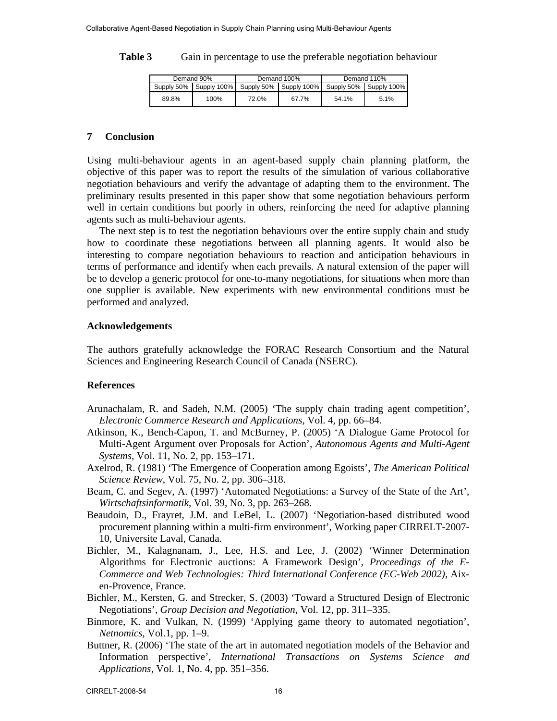| Table 3 | Gain in percentage to use the preferable negotiation behaviour |  |  |
|---------|----------------------------------------------------------------|--|--|
|---------|----------------------------------------------------------------|--|--|

| Demand 90% |      |       | Demand 100%                                                                    | Demand 110% |      |
|------------|------|-------|--------------------------------------------------------------------------------|-------------|------|
|            |      |       | Supply 50%   Supply 100%   Supply 50%   Supply 100%   Supply 50%   Supply 100% |             |      |
| 89.8%      | 100% | 72.0% | 67.7%                                                                          | 54.1%       | 5.1% |

## **7 Conclusion**

Using multi-behaviour agents in an agent-based supply chain planning platform, the objective of this paper was to report the results of the simulation of various collaborative negotiation behaviours and verify the advantage of adapting them to the environment. The preliminary results presented in this paper show that some negotiation behaviours perform well in certain conditions but poorly in others, reinforcing the need for adaptive planning agents such as multi-behaviour agents.

The next step is to test the negotiation behaviours over the entire supply chain and study how to coordinate these negotiations between all planning agents. It would also be interesting to compare negotiation behaviours to reaction and anticipation behaviours in terms of performance and identify when each prevails. A natural extension of the paper will be to develop a generic protocol for one-to-many negotiations, for situations when more than one supplier is available. New experiments with new environmental conditions must be performed and analyzed.

#### **Acknowledgements**

The authors gratefully acknowledge the FORAC Research Consortium and the Natural Sciences and Engineering Research Council of Canada (NSERC).

## **References**

- Arunachalam, R. and Sadeh, N.M. (2005) 'The supply chain trading agent competition', *Electronic Commerce Research and Applications*, Vol. 4, pp. 66–84.
- Atkinson, K., Bench-Capon, T. and McBurney, P. (2005) 'A Dialogue Game Protocol for Multi-Agent Argument over Proposals for Action', *Autonomous Agents and Multi-Agent Systems*, Vol. 11, No. 2, pp. 153–171.
- Axelrod, R. (1981) 'The Emergence of Cooperation among Egoists', *The American Political Science Review*, Vol. 75, No. 2, pp. 306–318.
- Beam, C. and Segev, A. (1997) 'Automated Negotiations: a Survey of the State of the Art', *Wirtschaftsinformatik*, Vol. 39, No. 3, pp. 263–268.
- Beaudoin, D., Frayret, J.M. and LeBel, L. (2007) 'Negotiation-based distributed wood procurement planning within a multi-firm environment', Working paper CIRRELT-2007- 10, Universite Laval, Canada.
- Bichler, M., Kalagnanam, J., Lee, H.S. and Lee, J. (2002) 'Winner Determination Algorithms for Electronic auctions: A Framework Design', *Proceedings of the E-Commerce and Web Technologies: Third International Conference (EC-Web 2002)*, Aixen-Provence, France.
- Bichler, M., Kersten, G. and Strecker, S. (2003) 'Toward a Structured Design of Electronic Negotiations', *Group Decision and Negotiation*, Vol. 12, pp. 311–335.
- Binmore, K. and Vulkan, N. (1999) 'Applying game theory to automated negotiation', *Netnomics*, Vol.1, pp. 1–9.
- Buttner, R. (2006) 'The state of the art in automated negotiation models of the Behavior and Information perspective', *International Transactions on Systems Science and Applications*, Vol. 1, No. 4, pp. 351–356.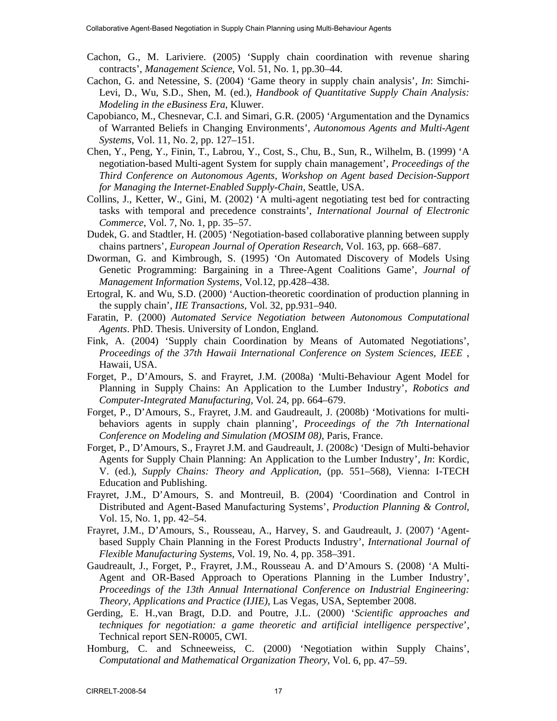- Cachon, G., M. Lariviere. (2005) 'Supply chain coordination with revenue sharing contracts', *Management Science*, Vol. 51, No. 1, pp.30–44.
- Cachon, G. and Netessine, S. (2004) 'Game theory in supply chain analysis', *In*: Simchi-Levi, D., Wu, S.D., Shen, M. (ed.), *Handbook of Quantitative Supply Chain Analysis: Modeling in the eBusiness Era*, Kluwer.
- Capobianco, M., Chesnevar, C.I. and Simari, G.R. (2005) 'Argumentation and the Dynamics of Warranted Beliefs in Changing Environments', *Autonomous Agents and Multi-Agent Systems*, Vol. 11, No. 2, pp. 127–151.
- Chen, Y., Peng, Y., Finin, T., Labrou, Y., Cost, S., Chu, B., Sun, R., Wilhelm, B. (1999) 'A negotiation-based Multi-agent System for supply chain management', *Proceedings of the Third Conference on Autonomous Agents, Workshop on Agent based Decision-Support for Managing the Internet-Enabled Supply-Chain*, Seattle, USA.
- Collins, J., Ketter, W., Gini, M. (2002) 'A multi-agent negotiating test bed for contracting tasks with temporal and precedence constraints', *International Journal of Electronic Commerce*, Vol. 7, No. 1, pp. 35–57.
- Dudek, G. and Stadtler, H. (2005) 'Negotiation-based collaborative planning between supply chains partners', *European Journal of Operation Research*, Vol. 163, pp. 668–687.
- Dworman, G. and Kimbrough, S. (1995) 'On Automated Discovery of Models Using Genetic Programming: Bargaining in a Three-Agent Coalitions Game', *Journal of Management Information Systems*, Vol.12, pp.428–438.
- Ertogral, K. and Wu, S.D. (2000) 'Auction-theoretic coordination of production planning in the supply chain', *IIE Transactions*, Vol. 32, pp.931–940.
- Faratin, P. (2000) *Automated Service Negotiation between Autonomous Computational Agents*. PhD. Thesis. University of London, England.
- Fink, A. (2004) 'Supply chain Coordination by Means of Automated Negotiations', *Proceedings of the 37th Hawaii International Conference on System Sciences, IEEE* , Hawaii, USA.
- Forget, P., D'Amours, S. and Frayret, J.M. (2008a) 'Multi-Behaviour Agent Model for Planning in Supply Chains: An Application to the Lumber Industry', *Robotics and Computer-Integrated Manufacturing*, Vol. 24, pp. 664–679.
- Forget, P., D'Amours, S., Frayret, J.M. and Gaudreault, J. (2008b) 'Motivations for multibehaviors agents in supply chain planning', *Proceedings of the 7th International Conference on Modeling and Simulation (MOSIM 08)*, Paris, France.
- Forget, P., D'Amours, S., Frayret J.M. and Gaudreault, J. (2008c) 'Design of Multi-behavior Agents for Supply Chain Planning: An Application to the Lumber Industry', *In*: Kordic, V. (ed.), *Supply Chains: Theory and Application*, (pp. 551–568), Vienna: I-TECH Education and Publishing.
- Frayret, J.M., D'Amours, S. and Montreuil, B. (2004) 'Coordination and Control in Distributed and Agent-Based Manufacturing Systems', *Production Planning & Control*, Vol. 15, No. 1, pp. 42–54.
- Frayret, J.M., D'Amours, S., Rousseau, A., Harvey, S. and Gaudreault, J. (2007) 'Agentbased Supply Chain Planning in the Forest Products Industry', *International Journal of Flexible Manufacturing Systems*, Vol. 19, No. 4, pp. 358–391.
- Gaudreault, J., Forget, P., Frayret, J.M., Rousseau A. and D'Amours S. (2008) 'A Multi-Agent and OR-Based Approach to Operations Planning in the Lumber Industry', *Proceedings of the 13th Annual International Conference on Industrial Engineering: Theory, Applications and Practice (IJIE)*, Las Vegas, USA, September 2008.
- Gerding, E. H.,van Bragt, D.D. and Poutre, J.L. (2000) '*Scientific approaches and techniques for negotiation: a game theoretic and artificial intelligence perspective*', Technical report SEN-R0005, CWI.
- Homburg, C. and Schneeweiss, C. (2000) 'Negotiation within Supply Chains', *Computational and Mathematical Organization Theory*, Vol. 6, pp. 47–59.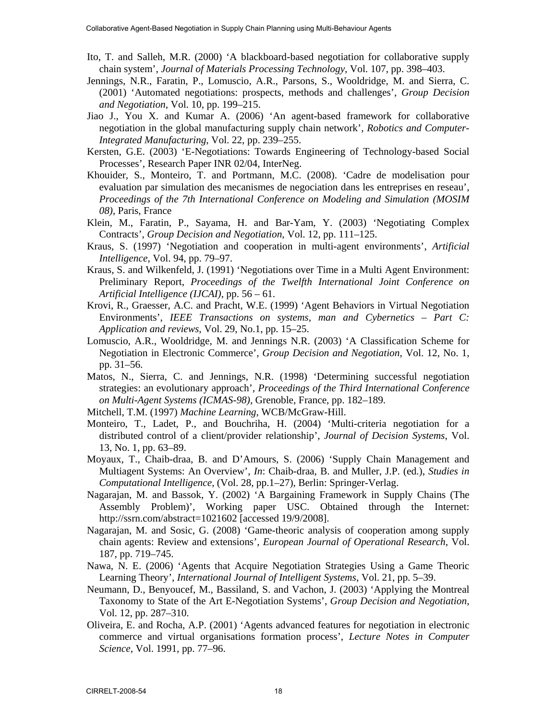- Ito, T. and Salleh, M.R. (2000) 'A blackboard-based negotiation for collaborative supply chain system', *Journal of Materials Processing Technology*, Vol. 107, pp. 398–403.
- Jennings, N.R., Faratin, P., Lomuscio, A.R., Parsons, S., Wooldridge, M. and Sierra, C. (2001) 'Automated negotiations: prospects, methods and challenges', *Group Decision and Negotiation*, Vol. 10, pp. 199–215.
- Jiao J., You X. and Kumar A. (2006) 'An agent-based framework for collaborative negotiation in the global manufacturing supply chain network', *Robotics and Computer-Integrated Manufacturing*, Vol. 22, pp. 239–255.
- Kersten, G.E. (2003) 'E-Negotiations: Towards Engineering of Technology-based Social Processes', Research Paper INR 02/04, InterNeg.
- Khouider, S., Monteiro, T. and Portmann, M.C. (2008). 'Cadre de modelisation pour evaluation par simulation des mecanismes de negociation dans les entreprises en reseau', *Proceedings of the 7th International Conference on Modeling and Simulation (MOSIM 08)*, Paris, France
- Klein, M., Faratin, P., Sayama, H. and Bar-Yam, Y. (2003) 'Negotiating Complex Contracts', *Group Decision and Negotiation*, Vol. 12, pp. 111–125.
- Kraus, S. (1997) 'Negotiation and cooperation in multi-agent environments', *Artificial Intelligence*, Vol. 94, pp. 79–97.
- Kraus, S. and Wilkenfeld, J. (1991) 'Negotiations over Time in a Multi Agent Environment: Preliminary Report, *Proceedings of the Twelfth International Joint Conference on Artificial Intelligence (IJCAI)*, pp. 56 – 61.
- Krovi, R., Graesser, A.C. and Pracht, W.E. (1999) 'Agent Behaviors in Virtual Negotiation Environments', *IEEE Transactions on systems, man and Cybernetics – Part C: Application and reviews*, Vol. 29, No.1, pp. 15–25.
- Lomuscio, A.R., Wooldridge, M. and Jennings N.R. (2003) 'A Classification Scheme for Negotiation in Electronic Commerce', *Group Decision and Negotiation*, Vol. 12, No. 1, pp. 31–56.
- Matos, N., Sierra, C. and Jennings, N.R. (1998) 'Determining successful negotiation strategies: an evolutionary approach', *Proceedings of the Third International Conference on Multi-Agent Systems (ICMAS-98)*, Grenoble, France, pp. 182–189.
- Mitchell, T.M. (1997) *Machine Learning*, WCB/McGraw-Hill.
- Monteiro, T., Ladet, P., and Bouchriha, H. (2004) 'Multi-criteria negotiation for a distributed control of a client/provider relationship', *Journal of Decision Systems*, Vol. 13, No. 1, pp. 63–89.
- Moyaux, T., Chaib-draa, B. and D'Amours, S. (2006) 'Supply Chain Management and Multiagent Systems: An Overview', *In*: Chaib-draa, B. and Muller, J.P. (ed.), *Studies in Computational Intelligence*, (Vol. 28, pp.1–27), Berlin: Springer-Verlag.
- Nagarajan, M. and Bassok, Y. (2002) 'A Bargaining Framework in Supply Chains (The Assembly Problem)', Working paper USC. Obtained through the Internet: http://ssrn.com/abstract=1021602 [accessed 19/9/2008].
- Nagarajan, M. and Sosic, G. (2008) 'Game-theoric analysis of cooperation among supply chain agents: Review and extensions', *European Journal of Operational Research*, Vol. 187, pp. 719–745.
- Nawa, N. E. (2006) 'Agents that Acquire Negotiation Strategies Using a Game Theoric Learning Theory', *International Journal of Intelligent Systems*, Vol. 21, pp. 5–39.
- Neumann, D., Benyoucef, M., Bassiland, S. and Vachon, J. (2003) 'Applying the Montreal Taxonomy to State of the Art E-Negotiation Systems', *Group Decision and Negotiation*, Vol. 12, pp. 287–310.
- Oliveira, E. and Rocha, A.P. (2001) 'Agents advanced features for negotiation in electronic commerce and virtual organisations formation process', *Lecture Notes in Computer Science*, Vol. 1991, pp. 77–96.